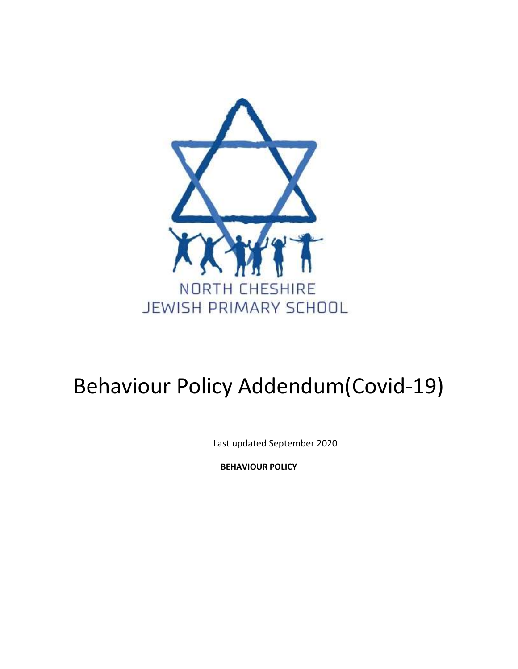

# Behaviour Policy Addendum(Covid-19)

Last updated September 2020

**BEHAVIOUR POLICY**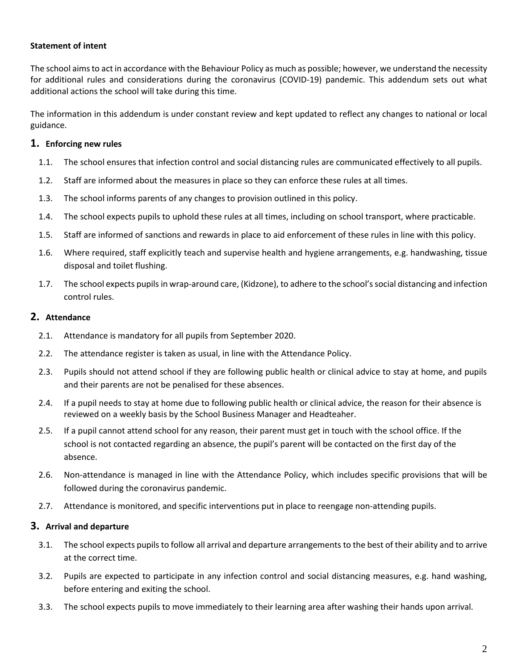### **Statement of intent**

The school aims to act in accordance with the Behaviour Policy as much as possible; however, we understand the necessity for additional rules and considerations during the coronavirus (COVID-19) pandemic. This addendum sets out what additional actions the school will take during this time.

The information in this addendum is under constant review and kept updated to reflect any changes to national or local guidance.

## **1. Enforcing new rules**

- 1.1. The school ensures that infection control and social distancing rules are communicated effectively to all pupils.
- 1.2. Staff are informed about the measures in place so they can enforce these rules at all times.
- 1.3. The school informs parents of any changes to provision outlined in this policy.
- 1.4. The school expects pupils to uphold these rules at all times, including on school transport, where practicable.
- 1.5. Staff are informed of sanctions and rewards in place to aid enforcement of these rules in line with this policy.
- 1.6. Where required, staff explicitly teach and supervise health and hygiene arrangements, e.g. handwashing, tissue disposal and toilet flushing.
- 1.7. The school expects pupils in wrap-around care, (Kidzone), to adhere to the school's social distancing and infection control rules.

## **2. Attendance**

- 2.1. Attendance is mandatory for all pupils from September 2020.
- 2.2. The attendance register is taken as usual, in line with the Attendance Policy.
- 2.3. Pupils should not attend school if they are following public health or clinical advice to stay at home, and pupils and their parents are not be penalised for these absences.
- 2.4. If a pupil needs to stay at home due to following public health or clinical advice, the reason for their absence is reviewed on a weekly basis by the School Business Manager and Headteaher.
- 2.5. If a pupil cannot attend school for any reason, their parent must get in touch with the school office. If the school is not contacted regarding an absence, the pupil's parent will be contacted on the first day of the absence.
- 2.6. Non-attendance is managed in line with the Attendance Policy, which includes specific provisions that will be followed during the coronavirus pandemic.
- 2.7. Attendance is monitored, and specific interventions put in place to reengage non-attending pupils.

## **3. Arrival and departure**

- 3.1. The school expects pupils to follow all arrival and departure arrangements to the best of their ability and to arrive at the correct time.
- 3.2. Pupils are expected to participate in any infection control and social distancing measures, e.g. hand washing, before entering and exiting the school.
- 3.3. The school expects pupils to move immediately to their learning area after washing their hands upon arrival.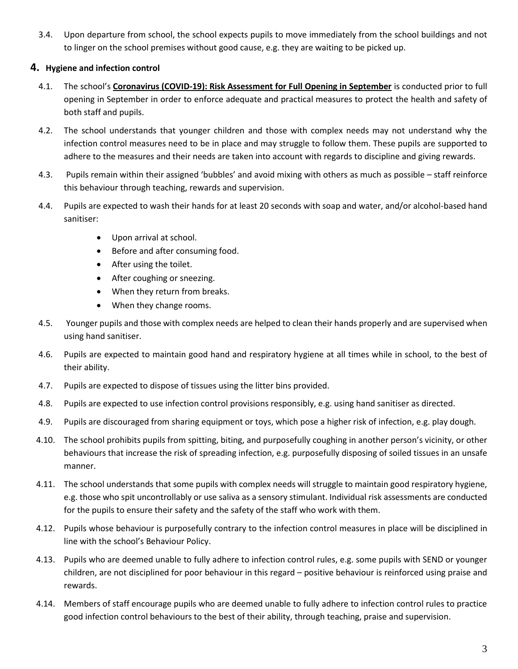3.4. Upon departure from school, the school expects pupils to move immediately from the school buildings and not to linger on the school premises without good cause, e.g. they are waiting to be picked up.

# **4. Hygiene and infection control**

- 4.1. The school's **Coronavirus (COVID-19): Risk Assessment for Full Opening in September** is conducted prior to full opening in September in order to enforce adequate and practical measures to protect the health and safety of both staff and pupils.
- 4.2. The school understands that younger children and those with complex needs may not understand why the infection control measures need to be in place and may struggle to follow them. These pupils are supported to adhere to the measures and their needs are taken into account with regards to discipline and giving rewards.
- 4.3. Pupils remain within their assigned 'bubbles' and avoid mixing with others as much as possible staff reinforce this behaviour through teaching, rewards and supervision.
- 4.4. Pupils are expected to wash their hands for at least 20 seconds with soap and water, and/or alcohol-based hand sanitiser:
	- Upon arrival at school.
	- Before and after consuming food.
	- After using the toilet.
	- After coughing or sneezing.
	- When they return from breaks.
	- When they change rooms.
- 4.5. Younger pupils and those with complex needs are helped to clean their hands properly and are supervised when using hand sanitiser.
- 4.6. Pupils are expected to maintain good hand and respiratory hygiene at all times while in school, to the best of their ability.
- 4.7. Pupils are expected to dispose of tissues using the litter bins provided.
- 4.8. Pupils are expected to use infection control provisions responsibly, e.g. using hand sanitiser as directed.
- 4.9. Pupils are discouraged from sharing equipment or toys, which pose a higher risk of infection, e.g. play dough.
- 4.10. The school prohibits pupils from spitting, biting, and purposefully coughing in another person's vicinity, or other behaviours that increase the risk of spreading infection, e.g. purposefully disposing of soiled tissues in an unsafe manner.
- 4.11. The school understands that some pupils with complex needs will struggle to maintain good respiratory hygiene, e.g. those who spit uncontrollably or use saliva as a sensory stimulant. Individual risk assessments are conducted for the pupils to ensure their safety and the safety of the staff who work with them.
- 4.12. Pupils whose behaviour is purposefully contrary to the infection control measures in place will be disciplined in line with the school's Behaviour Policy.
- 4.13. Pupils who are deemed unable to fully adhere to infection control rules, e.g. some pupils with SEND or younger children, are not disciplined for poor behaviour in this regard – positive behaviour is reinforced using praise and rewards.
- 4.14. Members of staff encourage pupils who are deemed unable to fully adhere to infection control rules to practice good infection control behaviours to the best of their ability, through teaching, praise and supervision.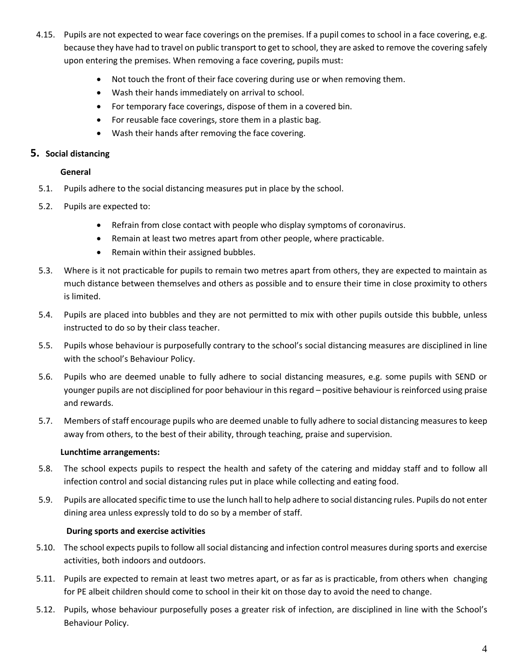- 4.15. Pupils are not expected to wear face coverings on the premises. If a pupil comes to school in a face covering, e.g. because they have had to travel on public transport to get to school, they are asked to remove the covering safely upon entering the premises. When removing a face covering, pupils must:
	- Not touch the front of their face covering during use or when removing them.
	- Wash their hands immediately on arrival to school.
	- For temporary face coverings, dispose of them in a covered bin.
	- For reusable face coverings, store them in a plastic bag.
	- Wash their hands after removing the face covering.

## **5. Social distancing**

### **General**

- 5.1. Pupils adhere to the social distancing measures put in place by the school.
- 5.2. Pupils are expected to:
	- Refrain from close contact with people who display symptoms of coronavirus.
	- Remain at least two metres apart from other people, where practicable.
	- Remain within their assigned bubbles.
- 5.3. Where is it not practicable for pupils to remain two metres apart from others, they are expected to maintain as much distance between themselves and others as possible and to ensure their time in close proximity to others is limited.
- 5.4. Pupils are placed into bubbles and they are not permitted to mix with other pupils outside this bubble, unless instructed to do so by their class teacher.
- 5.5. Pupils whose behaviour is purposefully contrary to the school's social distancing measures are disciplined in line with the school's Behaviour Policy.
- 5.6. Pupils who are deemed unable to fully adhere to social distancing measures, e.g. some pupils with SEND or younger pupils are not disciplined for poor behaviour in this regard – positive behaviour is reinforced using praise and rewards.
- 5.7. Members of staff encourage pupils who are deemed unable to fully adhere to social distancing measures to keep away from others, to the best of their ability, through teaching, praise and supervision.

#### **Lunchtime arrangements:**

- 5.8. The school expects pupils to respect the health and safety of the catering and midday staff and to follow all infection control and social distancing rules put in place while collecting and eating food.
- 5.9. Pupils are allocated specific time to use the lunch hall to help adhere to social distancing rules. Pupils do not enter dining area unless expressly told to do so by a member of staff.

#### **During sports and exercise activities**

- 5.10. The school expects pupils to follow all social distancing and infection control measures during sports and exercise activities, both indoors and outdoors.
- 5.11. Pupils are expected to remain at least two metres apart, or as far as is practicable, from others when changing for PE albeit children should come to school in their kit on those day to avoid the need to change.
- 5.12. Pupils, whose behaviour purposefully poses a greater risk of infection, are disciplined in line with the School's Behaviour Policy.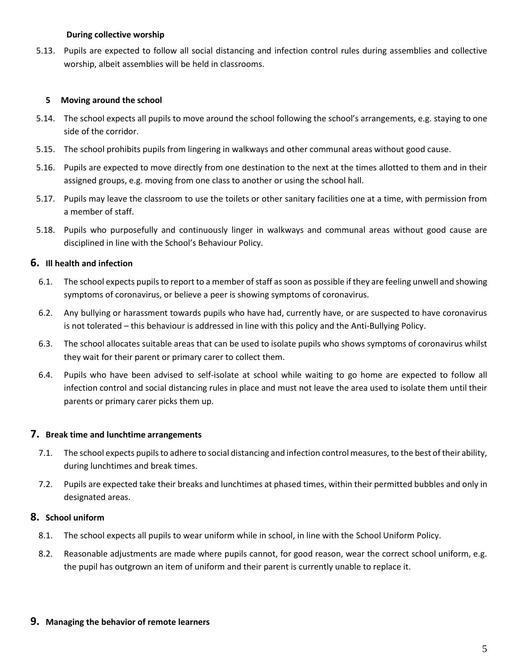#### **During collective worship**

5.13. Pupils are expected to follow all social distancing and infection control rules during assemblies and collective worship, albeit assemblies will be held in classrooms.

#### **5 Moving around the school**

- 5.14. The school expects all pupils to move around the school following the school's arrangements, e.g. staying to one side of the corridor.
- 5.15. The school prohibits pupils from lingering in walkways and other communal areas without good cause.
- 5.16. Pupils are expected to move directly from one destination to the next at the times allotted to them and in their assigned groups, e.g. moving from one class to another or using the school hall.
- 5.17. Pupils may leave the classroom to use the toilets or other sanitary facilities one at a time, with permission from a member of staff.
- 5.18. Pupils who purposefully and continuously linger in walkways and communal areas without good cause are disciplined in line with the School's Behaviour Policy.

## **6. Ill health and infection**

- 6.1. The school expects pupils to report to a member of staff as soon as possible if they are feeling unwell and showing symptoms of coronavirus, or believe a peer is showing symptoms of coronavirus.
- 6.2. Any bullying or harassment towards pupils who have had, currently have, or are suspected to have coronavirus is not tolerated – this behaviour is addressed in line with this policy and the Anti-Bullying Policy.
- 6.3. The school allocates suitable areas that can be used to isolate pupils who shows symptoms of coronavirus whilst they wait for their parent or primary carer to collect them.
- 6.4. Pupils who have been advised to self-isolate at school while waiting to go home are expected to follow all infection control and social distancing rules in place and must not leave the area used to isolate them until their parents or primary carer picks them up.

## **7. Break time and lunchtime arrangements**

- 7.1. The school expects pupils to adhere to social distancing and infection control measures, to the best of their ability, during lunchtimes and break times.
- 7.2. Pupils are expected take their breaks and lunchtimes at phased times, within their permitted bubbles and only in designated areas.

## **8. School uniform**

- 8.1. The school expects all pupils to wear uniform while in school, in line with the School Uniform Policy.
- 8.2. Reasonable adjustments are made where pupils cannot, for good reason, wear the correct school uniform, e.g. the pupil has outgrown an item of uniform and their parent is currently unable to replace it.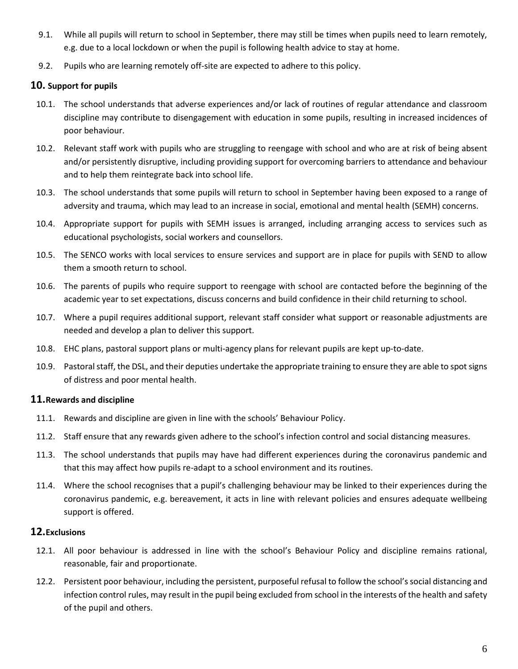- 9.1. While all pupils will return to school in September, there may still be times when pupils need to learn remotely, e.g. due to a local lockdown or when the pupil is following health advice to stay at home.
- 9.2. Pupils who are learning remotely off-site are expected to adhere to this policy.

## **10. Support for pupils**

- 10.1. The school understands that adverse experiences and/or lack of routines of regular attendance and classroom discipline may contribute to disengagement with education in some pupils, resulting in increased incidences of poor behaviour.
- 10.2. Relevant staff work with pupils who are struggling to reengage with school and who are at risk of being absent and/or persistently disruptive, including providing support for overcoming barriers to attendance and behaviour and to help them reintegrate back into school life.
- 10.3. The school understands that some pupils will return to school in September having been exposed to a range of adversity and trauma, which may lead to an increase in social, emotional and mental health (SEMH) concerns.
- 10.4. Appropriate support for pupils with SEMH issues is arranged, including arranging access to services such as educational psychologists, social workers and counsellors.
- 10.5. The SENCO works with local services to ensure services and support are in place for pupils with SEND to allow them a smooth return to school.
- 10.6. The parents of pupils who require support to reengage with school are contacted before the beginning of the academic year to set expectations, discuss concerns and build confidence in their child returning to school.
- 10.7. Where a pupil requires additional support, relevant staff consider what support or reasonable adjustments are needed and develop a plan to deliver this support.
- 10.8. EHC plans, pastoral support plans or multi-agency plans for relevant pupils are kept up-to-date.
- 10.9. Pastoral staff, the DSL, and their deputies undertake the appropriate training to ensure they are able to spot signs of distress and poor mental health.

## **11.Rewards and discipline**

- 11.1. Rewards and discipline are given in line with the schools' Behaviour Policy.
- 11.2. Staff ensure that any rewards given adhere to the school's infection control and social distancing measures.
- 11.3. The school understands that pupils may have had different experiences during the coronavirus pandemic and that this may affect how pupils re-adapt to a school environment and its routines.
- 11.4. Where the school recognises that a pupil's challenging behaviour may be linked to their experiences during the coronavirus pandemic, e.g. bereavement, it acts in line with relevant policies and ensures adequate wellbeing support is offered.

## **12.Exclusions**

- 12.1. All poor behaviour is addressed in line with the school's Behaviour Policy and discipline remains rational, reasonable, fair and proportionate.
- 12.2. Persistent poor behaviour, including the persistent, purposeful refusal to follow the school's social distancing and infection control rules, may result in the pupil being excluded from school in the interests of the health and safety of the pupil and others.